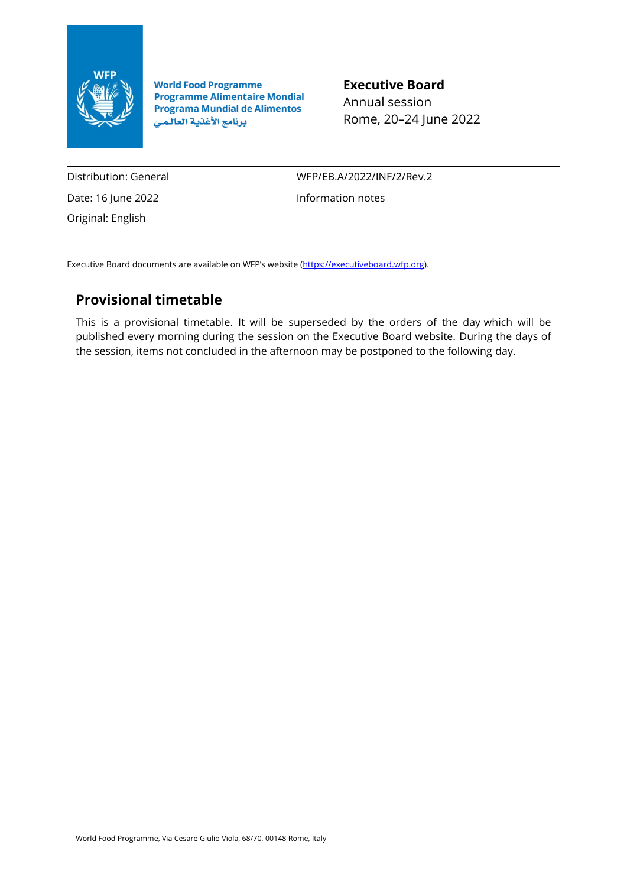

**World Food Programme Programme Alimentaire Mondial Programa Mundial de Alimentos** برنامج الأغذية العالمي

**Executive Board** Annual session Rome, 20–24 June 2022

Distribution: General Date: 16 June 2022 Original: English

WFP/EB.A/2022/INF/2/Rev.2 Information notes

Executive Board documents are available on WFP's website [\(https://executiveboard.wfp.org\)](https://executiveboard.wfp.org/).

## **Provisional timetable**

This is a provisional timetable. It will be superseded by the orders of the day which will be published every morning during the session on the Executive Board website. During the days of the session, items not concluded in the afternoon may be postponed to the following day.